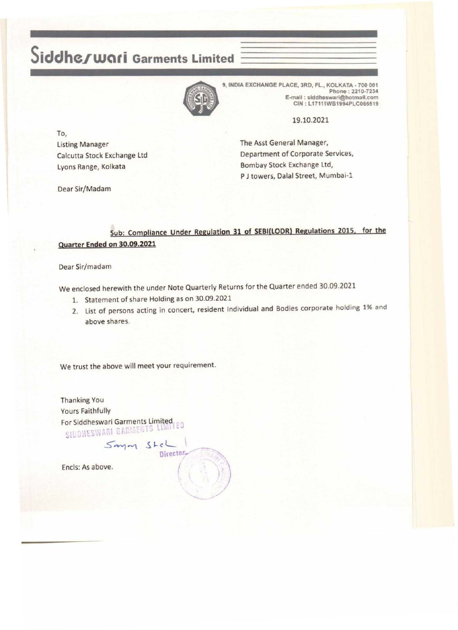# **Siddheiwari Garments Limited**



9, INDIA EXCHANGE PLACE, 3RD, FL., KOLKATA - 700 001 Phone : 2210-7234 E-mail : siddheswarl@hotmail.com CIN : L17111WB1994PLC065519

19.10.2021

To, Listing Manager Calcutta Stock Exchange Ltd lyons Range, Kolkata

Dear Sir/Madam

The Asst General Manager, Department of Corporate Services, Bombay Stock Exchange ltd, P J towers, Dalal Street, Mumbai-1

## Sub: Compliance Under Regulation 31 of SEBI(LODR) Regulations 2015. for the Quarter Ended on 30.09.2021

### Dear Sir/madam

We enclosed herewith the under Note Quarterly Returns for the Quarter ended 30.09.2021

- 1. Statement of share Holding as on 30.09.2021
- 2. List of persons acting in concert, resident Individual and Bodies corporate holding 1% and above shares.

We trust the above will meet your requirement.

Thanking You Yours Faithfully For Siddheswari Garments Limited 1 ~ i <sup>~</sup>

> $S$ *anyon*  $S$ tel Director.

Encls: As above. *{*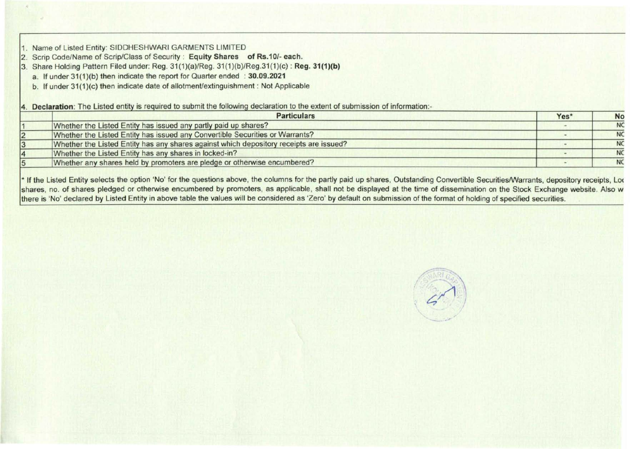1. Name of Listed Entity: SIDDHESHWARI GARMENTS LIMITED

2. Scrip Code/Name of Scrip/Class of Security : Equity Shares of Rs.10/- each.

3. Share Holding Pattern Filed under: Reg. 31(1)(a)/Reg. 31(1)(b)/Reg.31(1)(c) : Reg. 31(1)(b)

a. If under 31(1)(b) then indicate the report for Quarter ended : 30.09.2021

b. If under 31(1)(c) then indicate date of allotment/extinguishment : Not Applicable

4. Declaration: The Listed entity is required to submit the following declaration to the extent of submission of information:-

| <b>Particulars</b>                                                                     | Yes* | <b>No</b> |
|----------------------------------------------------------------------------------------|------|-----------|
| Whether the Listed Entity has issued any partly paid up shares?                        |      | <b>NC</b> |
| Whether the Listed Entity has issued any Convertible Securities or Warrants?           |      | <b>NC</b> |
| Whether the Listed Entity has any shares against which depository receipts are issued? |      | <b>NC</b> |
| Whether the Listed Entity has any shares in locked-in?                                 |      | <b>NC</b> |
| Whether any shares held by promoters are pledge or otherwise encumbered?               |      | <b>NC</b> |

\* If the Listed Entity selects the option 'No' for the questions above, the columns for the partly paid up shares, Outstanding Convertible Securities/Warrants, depository receipts, Loc shares, no. of shares pledged or otherwise encumbered by promoters, as applicable, shall not be displayed at the time of dissemination on the Stock Exchange website. Also w there is 'No' declared by Listed Entity in above table the values will be considered as 'Zero' by default on submission of the format of holding of specified securities.

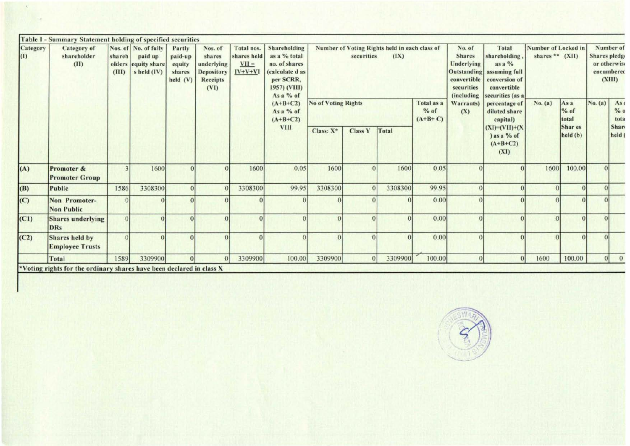|                         | Table I - Summary Statement holding of specified securities         |                 |                        |                      |                     |                                                     |                                                                          |                                                   |                                                                                                              |              |                                   |                                                       |                                                        |                                                                                                        |                                                                                                                             |                                          |                      |               |                                                   |
|-------------------------|---------------------------------------------------------------------|-----------------|------------------------|----------------------|---------------------|-----------------------------------------------------|--------------------------------------------------------------------------|---------------------------------------------------|--------------------------------------------------------------------------------------------------------------|--------------|-----------------------------------|-------------------------------------------------------|--------------------------------------------------------|--------------------------------------------------------------------------------------------------------|-----------------------------------------------------------------------------------------------------------------------------|------------------------------------------|----------------------|---------------|---------------------------------------------------|
| Category<br>$\vert$ (I) | Category of<br>shareholder<br>(II)                                  | sharch<br>(III) | paid up<br>s held (IV) | Nos. of No. of fully | olders equity share | Partly<br>paid-up<br>equity<br>shares<br>held $(V)$ | Nos. of<br>shares<br>underlying<br><b>Depository</b><br>Receipts<br>(VI) | Total nos.<br>shares held<br>$VII =$<br>$IV+V+VI$ | Shareholding<br>as a % total<br>no. of shares<br>(calculate d as<br>per SCRR,<br>1957) (VIII)<br>As $a\%$ of |              | securities                        | Number of Voting Rights held in each class of<br>(IX) |                                                        | No. of<br><b>Shares</b><br>Underlying<br><b>Outstanding</b><br>convertible<br>securities<br>(including | Total<br>shareholding<br>$\mathbf{a}$ s $\mathbf{a}$ %<br>assuming full<br>conversion of<br>convertible<br>securities (as a | Number of Locked in<br>shares ** $(XII)$ |                      | Shares pledge | Number of<br>or otherwise<br>encumbered<br>(XIII) |
|                         |                                                                     |                 |                        |                      |                     |                                                     | $(A+B+C2)$<br>As a % of<br>$(A+B+C2)$<br><b>VIII</b>                     | <b>No of Voting Rights</b>                        |                                                                                                              |              | Total as a<br>$%$ of<br>$(A+B+C)$ | Warrants)<br>(X)                                      | percentage of<br>diluted share<br>capital)             | No. (a)                                                                                                | As a<br>$%$ of<br>total                                                                                                     | No. (a)                                  | As:<br>$%$ 0<br>tota |               |                                                   |
|                         |                                                                     |                 |                        |                      |                     |                                                     |                                                                          | Class: $X^*$                                      | Class Y                                                                                                      | <b>Total</b> |                                   |                                                       | $(XI)=(VII)+(X$<br>) as a $%$ of<br>$(A+B+C2)$<br>(XI) |                                                                                                        | Shar es<br>held (b)                                                                                                         |                                          | Shart<br>held (      |               |                                                   |
| (A)                     | Promoter &<br><b>Promoter Group</b>                                 |                 | 1600                   |                      |                     | 1600                                                | 0.05                                                                     | 1600                                              | $\Omega$                                                                                                     | 1600         | 0.05                              |                                                       |                                                        | 1600                                                                                                   | 100.00                                                                                                                      |                                          |                      |               |                                                   |
| (B)                     | Public                                                              | 1586            | 3308300                |                      | $\Omega$            | 3308300                                             | 99.95                                                                    | 3308300                                           |                                                                                                              | 3308300      | 99.95                             |                                                       |                                                        | $\Omega$                                                                                               |                                                                                                                             |                                          |                      |               |                                                   |
| (C)                     | Non Promoter-<br><b>Non Public</b>                                  |                 |                        |                      |                     |                                                     |                                                                          |                                                   |                                                                                                              | $\Omega$     | 0.00                              |                                                       | $\Omega$                                               |                                                                                                        |                                                                                                                             |                                          |                      |               |                                                   |
| (C1)                    | <b>Shares</b> underlying<br><b>DRs</b>                              | $\Omega$        |                        |                      |                     |                                                     |                                                                          |                                                   | $\Omega$                                                                                                     |              | 0.00                              |                                                       |                                                        | $\Omega$                                                                                               |                                                                                                                             |                                          |                      |               |                                                   |
| (C2)                    | Shares held by<br><b>Employee Trusts</b>                            |                 |                        |                      |                     |                                                     |                                                                          |                                                   | $\Omega$                                                                                                     |              | 0.00                              | $\Omega$                                              |                                                        | $\Omega$                                                                                               |                                                                                                                             |                                          |                      |               |                                                   |
|                         | Total                                                               | 1589            | 3309900                | $\Omega$             | $\Omega$            | 3309900                                             | 100.00                                                                   | 3309900                                           | $\theta$                                                                                                     | 3309900      | 100.00                            |                                                       | $\Omega$                                               | 1600                                                                                                   | 100.00                                                                                                                      | 0                                        | $\mathbf{0}$         |               |                                                   |
|                         | Voting rights for the ordinary shares have been declared in class X |                 |                        |                      |                     |                                                     |                                                                          |                                                   |                                                                                                              |              |                                   |                                                       |                                                        |                                                                                                        |                                                                                                                             |                                          |                      |               |                                                   |

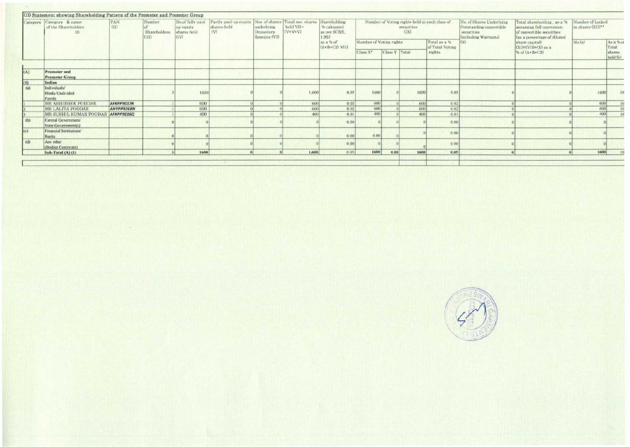|                   | Category Category & name<br>of the Shareholders<br>(1) | PAN<br>GD  | Number<br>Shareholders<br>(III) | No.of fully paid<br>up equity.<br>shares held<br>(IV) | Partly paid up equity Nos. of shares Total nos. shares<br>shares bold<br>(V) | underlying<br>Depository<br>Receipts (VI) | held VII=<br>$IV+V+VI$ | Shareholding<br>% calcuated<br>as per SCRR.<br>1.957 |                         |               | securities<br>(1X) | Number of Voting rights held in each class of | No. of Shares Underlying<br>Outstanding convertible<br>securities<br>(including Warrants) | Total shareholding, as a %<br>assuming full conversion<br>of convertible securities<br>(as a percentage of diluted | Number of Locked<br>in shares (XII)** |                             |
|-------------------|--------------------------------------------------------|------------|---------------------------------|-------------------------------------------------------|------------------------------------------------------------------------------|-------------------------------------------|------------------------|------------------------------------------------------|-------------------------|---------------|--------------------|-----------------------------------------------|-------------------------------------------------------------------------------------------|--------------------------------------------------------------------------------------------------------------------|---------------------------------------|-----------------------------|
|                   |                                                        |            |                                 |                                                       |                                                                              |                                           |                        | as a % of<br>$(A+B+C2)$ VIII                         | Number of Voting rights |               |                    | Total as a %<br>of Total Voting               | (X)                                                                                       | share capital)<br>$(XI) = (VII) + (X)$ as a                                                                        | No.(n)                                | As a % c                    |
|                   |                                                        |            |                                 |                                                       |                                                                              |                                           |                        |                                                      | Class X*                | Class Y Total |                    | rights                                        |                                                                                           | % of $(A+B+C2)$                                                                                                    |                                       | Total<br>shares<br>held (b) |
|                   |                                                        |            |                                 |                                                       |                                                                              |                                           |                        |                                                      |                         |               |                    |                                               |                                                                                           |                                                                                                                    |                                       |                             |
| (A)               | Promoter and<br><b>Promoter Group</b>                  |            |                                 |                                                       |                                                                              |                                           |                        |                                                      |                         |               |                    |                                               |                                                                                           |                                                                                                                    |                                       |                             |
|                   | Indian                                                 |            |                                 |                                                       |                                                                              |                                           |                        |                                                      |                         |               |                    |                                               |                                                                                           |                                                                                                                    |                                       |                             |
| $\frac{(1)}{(a)}$ | Individuals/<br>Hindu Undivided<br>Family              |            |                                 | 1600                                                  |                                                                              |                                           | 1,600                  | 0.05                                                 | 1600                    |               | 1600               | 0.05                                          |                                                                                           |                                                                                                                    |                                       | 1600                        |
|                   | <b>MR ABHISHEK PODDAR</b>                              | AFKPP9017R |                                 | 600                                                   |                                                                              |                                           | 600                    | 0.02                                                 | 600                     |               | 600                | 0.02                                          |                                                                                           |                                                                                                                    |                                       | 6001                        |
|                   | MR LALITA PODDAR                                       | AHYPP9268N |                                 | 600                                                   |                                                                              |                                           | 600                    | 0.02                                                 | 600                     |               | 600                | 0.02                                          |                                                                                           |                                                                                                                    |                                       | 600                         |
|                   | MR SUSHIL KUMAR PODDAR AFKPP9016Q                      |            |                                 | 400                                                   |                                                                              |                                           | 400                    | 0.01                                                 | 400                     |               | 400                | 0.01                                          |                                                                                           |                                                                                                                    |                                       | 400                         |
| (b)               | Central Government/<br>State Government(s)             |            |                                 |                                                       |                                                                              |                                           |                        | 0.00                                                 |                         |               |                    | 0.00                                          |                                                                                           |                                                                                                                    |                                       |                             |
| (c)               | Financial Institutions/<br>Banks                       |            |                                 |                                                       |                                                                              |                                           |                        | 0.00                                                 | 0.00                    |               |                    | 0.00                                          |                                                                                           |                                                                                                                    |                                       |                             |
| (d)               | Any other<br>(Bodies Corporate)                        |            |                                 |                                                       |                                                                              |                                           |                        | 0.00                                                 |                         |               |                    | 0.00                                          |                                                                                           |                                                                                                                    |                                       |                             |
|                   | Sub-Total (A) (1)                                      |            |                                 | 1600                                                  |                                                                              |                                           | 1,600                  | 0.05                                                 | 1600                    | 0.00          | 1600               | 0.05                                          |                                                                                           | Gi i<br>$\Omega$                                                                                                   | 1600                                  |                             |

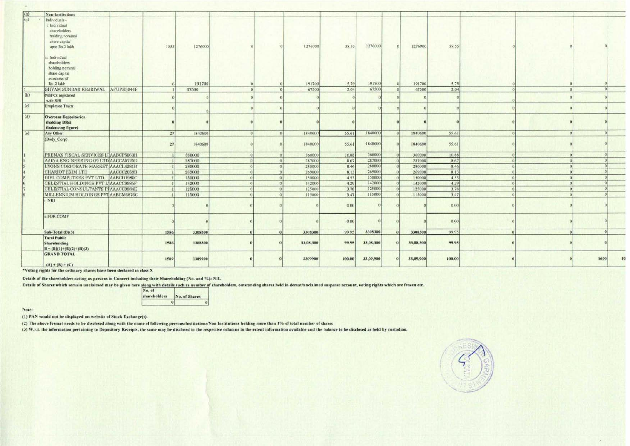| (3)                             | <b>Non-Institutions</b>                                                                           |            |      |         |            |            |           |        |           |           |        |  |      |              |
|---------------------------------|---------------------------------------------------------------------------------------------------|------------|------|---------|------------|------------|-----------|--------|-----------|-----------|--------|--|------|--------------|
| (a)<br>$\overline{\phantom{a}}$ | Individuals -<br>Individual<br>shareholders<br>holding nominal<br>share capital<br>upto Rs.2 lakh |            | 1553 | 1276000 |            |            | 1276000   | 38.55  | 1276000   | 1276000   | 38.55  |  |      |              |
|                                 | Individual<br>shareholders<br>holding nominal<br>share capital<br>in excess of<br>Rs. 2 lakh      |            |      | 191700  |            |            | 191700    | 5.79   | 191700    | 191700    | 5.79   |  |      |              |
|                                 | SHYAM SUNDAR KEJRIWAL AFUPK3044F                                                                  |            |      | 67500   | $\theta$   | $^{\circ}$ | 67500     | 2.04   | 67500     | 67500     | 2.04   |  |      |              |
| (b)                             | NBFCs registered<br>with RBI                                                                      |            |      |         |            |            |           |        |           |           |        |  |      |              |
| (c)                             | <b>Employee Trusts</b>                                                                            |            |      |         |            |            |           |        |           |           |        |  |      |              |
| (d)                             | <b>Overseas Depositories</b><br>(holding DRs)<br>(balancing figure)                               |            |      |         |            |            |           |        |           |           |        |  |      |              |
| $\alpha$                        | Any Other:                                                                                        |            | 27   | 1840600 | $\Omega$   | $\sigma$   | 1840600   | 55.61  | 1840600   | 1840600   | 55.61  |  |      |              |
|                                 | (Body Corp)                                                                                       |            | 27   | 1840600 |            |            | 1840600   | 55.61  | 1840600   | 1840600   | 55.61  |  |      |              |
|                                 | PREMAX FISCAL SERVICES L'AABCP5060H                                                               |            |      | 360000  | $\Omega$   | $\Omega$   | 360000    | 10.88  | 360000    | 360000    | 10.88  |  |      |              |
| $\vert 2 \rangle$               | AAINA ENGINEERING (P) LTD AACCA5725D                                                              |            |      | 287000  | $\sqrt{2}$ | $\Omega$   | 287000    | 8.67   | 287000    | 287000    | 8.67   |  |      |              |
| $ 3\rangle$                     | LYONS CORPORATE MARKET AAACL4281B                                                                 |            |      | 280000  | $\theta$   | 0          | 280000    | 8.46   | 280000    | 280000    | 8.46   |  |      |              |
| 4                               | CHARIOT EXIM LTD                                                                                  | AACCC2058B |      | 269000  | $\Omega$   | $\Omega$   | 269000    | 8.13   | 269000    | 269000    | 813    |  |      |              |
| $\overline{5}$                  | DIPL COMPUTERS PVT LTD AABCD1980C                                                                 |            |      | 150000  | $\Omega$   | $\Omega$   | 150000    | 4.53   | 150000    | 150000    | 4.53   |  |      |              |
| l6                              | CELESTIAL HOLDINGS PVT LIAAACC9985F                                                               |            |      | 142000  | $\Omega$   | $\Omega$   | 142000    | 4.29   | 142000    | 142000    | 4 2 9  |  |      |              |
|                                 | CELESTIAL CONSULTANTS PLAAACC9984E                                                                |            |      | 125000  | $\Omega$   | $\Omega$   | 125000    | 3.78   | 125000    | 125000    | 3.78   |  |      |              |
|                                 | MILLENNIUM HOLDINGS PVT AABCM6876C                                                                |            |      | 115000  | 0          | $\Omega$   | 115000    | 3.47   | 115000    | 115000    | 3.47   |  |      |              |
|                                 | i NRI                                                                                             |            |      |         |            |            |           | 0.00   |           |           | 0.00   |  |      |              |
|                                 | ii FOR COMP                                                                                       |            |      |         |            |            |           | 0.00   |           |           | 0.00   |  |      |              |
|                                 | Sub-Total $(B)(3)$                                                                                |            | 1586 | 3308300 | $\alpha$   | $\theta$   | 3308300   | 99.95  | 3308300   | 3308300   | 99.95  |  |      |              |
|                                 | <b>Total Public</b><br>Shareholding<br>$B = (B)(1)+(B)(2)+(B)(3)$                                 |            | 1586 | 3308300 |            |            | 33,08,300 | 99.95  | 33,08,300 | 33,08,300 | 99.95  |  |      |              |
|                                 | <b>GRAND TOTAL</b><br>$(A) + (B) + (C)$                                                           |            | 1589 | 3309900 |            |            | 3309900   | 100.00 | 33,09,900 | 33,09,900 | 100.00 |  | 1600 | $\mathbf{H}$ |

\*Voting rights for the ordinary shares have been declared in class X

Details of the shareholders acting as persons in Concert including their Shareholding (No. and %): NIL

Details of Shares which remain unclaimed may be given here along with details such as number of shareholders, outstanding shares held in demat/unclaimed suspense account, voting rights which are frozen etc. No.

| IN <sub>a</sub> , of<br><b>shareholders</b> | No. of Shares |
|---------------------------------------------|---------------|
| oı                                          |               |

Note:

(1) PAN would not be displayed on website of Stock Exchange(s).

(2) The above format needs to be disclosed along with the name of following persons: Institutions/Non Institutions holding more than 1% of total number of shares

(3) W.r.t. the information pertaining to Depository Receipts, the same may be disclosed in the respective columns to the extent information available and the balance to be disclosed as held by custodian.

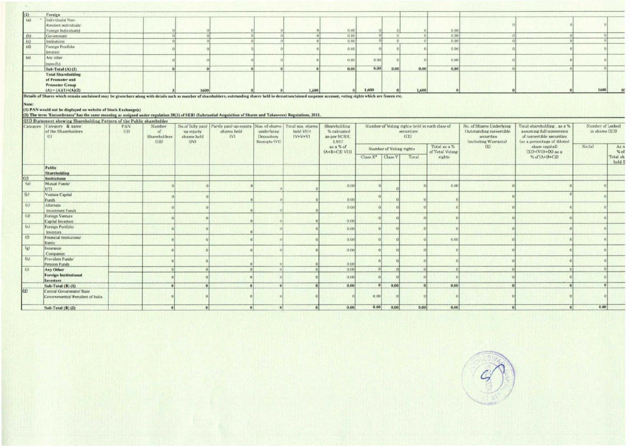| (2)                                                                     | Foreign                                                                                        |  |      |  |       |               |       |      |       |       |  |      |  |
|-------------------------------------------------------------------------|------------------------------------------------------------------------------------------------|--|------|--|-------|---------------|-------|------|-------|-------|--|------|--|
| (a)                                                                     | Individuals(Non-<br>Resident individuals<br>Foreign Individuals)                               |  |      |  |       | 0.06          |       |      |       | 0.00  |  |      |  |
|                                                                         | Government                                                                                     |  |      |  |       | O.00          |       |      |       | 0.00  |  |      |  |
|                                                                         | Institutions                                                                                   |  |      |  |       | 0.00          |       |      |       | 0.00  |  |      |  |
| $\begin{array}{ c } \hline (b) \\ \hline (c) \\ \hline (d) \end{array}$ | Foreign Protfolio<br>Investor                                                                  |  |      |  |       | 0.00          |       |      |       | 0.00  |  |      |  |
| (e)                                                                     | Any other<br>(specify)                                                                         |  |      |  |       | $Q$ , $Q$ $Q$ | 0.00  |      |       | 0.00  |  |      |  |
|                                                                         | Sub-Total $(A)$ $(2)$                                                                          |  |      |  |       | 0.00          | 0.00  | 0,00 | 0.00  | 0.00, |  |      |  |
|                                                                         | <b>Total Shareholding</b><br>of Promoter and<br><b>Promoter Group</b><br>$(A) = (A)(1)+(A)(2)$ |  | 1600 |  | 1,600 |               | 1,600 |      | 1.600 |       |  | 1600 |  |

Details of Shares which remain unclaimed may be given here along with details such as number of shareholders, outstanding shares held in demat/unclaimed suspense account, voting rights which are frozen etc.

Note:<br>(1) PAN would not be displayed on website of Stock Exchange(s)<br>(2) The term 'Encumbrance' has the same meaning as assigned under regulation 28(3) of SEBI (Substantial Acquisition of Shares and Takeovers) Regulations,

|                           | Category Category & name<br>of the Shareholders<br>(1)         | <b>PAN</b><br>GD | (III) Statement showing Shareholding Pattern of the Public shareholder<br>Number<br>of<br>Shareholders<br>(HD) | up equity<br>shares held<br>(IV) | No.of fully paid Partly paid up equity Nos. of shares Total nos. shares<br>shares held<br>(V) | underlying<br>Depository<br>Receipts (VI) | held VII=<br>$IV+V+VI$ | Shareholding<br>% calcuated<br>as per SCRR.<br>1,957 |                              |                         | Number of Voting rights held in each class of<br>securities<br>(X) |                                 | No. of Shares Underlying<br>Outstanding convertible<br>securities<br>(including Warrants) | Total shareholding, as a %<br>assuming full conversion<br>of convertible securities<br>(as a percentage of diluted | Number of Locked<br>in shares (XII) |                  |
|---------------------------|----------------------------------------------------------------|------------------|----------------------------------------------------------------------------------------------------------------|----------------------------------|-----------------------------------------------------------------------------------------------|-------------------------------------------|------------------------|------------------------------------------------------|------------------------------|-------------------------|--------------------------------------------------------------------|---------------------------------|-------------------------------------------------------------------------------------------|--------------------------------------------------------------------------------------------------------------------|-------------------------------------|------------------|
|                           |                                                                |                  |                                                                                                                |                                  |                                                                                               |                                           |                        | as a % of<br>$(A+ B+C2)$ VIII                        |                              | Number of Voting rights |                                                                    | Total as a %<br>of Total Voting | (X)                                                                                       | share capital)<br>$(XI)=(VII)+(X)$ as a                                                                            | No(n)                               | As:<br>%         |
|                           |                                                                |                  |                                                                                                                |                                  |                                                                                               |                                           |                        |                                                      | Class X <sup>*</sup> Class Y |                         | Total                                                              | rights.                         |                                                                                           | % of $(A+B+C2)$                                                                                                    |                                     | Total sł<br>held |
|                           | Public                                                         |                  |                                                                                                                |                                  |                                                                                               |                                           |                        |                                                      |                              |                         |                                                                    |                                 |                                                                                           |                                                                                                                    |                                     |                  |
|                           | Shareholding                                                   |                  |                                                                                                                |                                  |                                                                                               |                                           |                        |                                                      |                              |                         |                                                                    |                                 |                                                                                           |                                                                                                                    |                                     |                  |
| (1)                       | Institutions                                                   |                  |                                                                                                                |                                  |                                                                                               |                                           |                        |                                                      |                              |                         |                                                                    |                                 |                                                                                           |                                                                                                                    |                                     |                  |
| (a)                       | Mutual Funds/<br>UTI                                           |                  |                                                                                                                |                                  |                                                                                               |                                           |                        | 0.00                                                 |                              |                         |                                                                    | 0.00                            |                                                                                           |                                                                                                                    |                                     |                  |
| (b)                       | Venture Capital<br>Funds                                       |                  |                                                                                                                |                                  |                                                                                               |                                           |                        | 0.00                                                 |                              |                         |                                                                    |                                 |                                                                                           |                                                                                                                    |                                     |                  |
| $\epsilon$                | Alternate<br>Investment Funds                                  |                  |                                                                                                                |                                  |                                                                                               |                                           |                        | 0.00                                                 |                              |                         |                                                                    |                                 |                                                                                           |                                                                                                                    |                                     |                  |
| (d)                       | Foreign Venture<br>Capital Investors                           |                  |                                                                                                                |                                  |                                                                                               |                                           |                        | 0.00                                                 |                              |                         |                                                                    |                                 |                                                                                           |                                                                                                                    |                                     |                  |
| (e)                       | Foreign Portfolio<br>Investors                                 |                  |                                                                                                                |                                  |                                                                                               |                                           |                        | 0.00                                                 |                              |                         |                                                                    |                                 |                                                                                           |                                                                                                                    |                                     |                  |
| $\omega$                  | Financial Institutions/<br>Banks                               |                  |                                                                                                                |                                  |                                                                                               |                                           |                        | 0.00                                                 |                              |                         |                                                                    | 0.00                            |                                                                                           |                                                                                                                    |                                     |                  |
| $\left(\mathbf{r}\right)$ | Insurance<br>Companies                                         |                  |                                                                                                                |                                  |                                                                                               |                                           |                        | 0.00                                                 |                              |                         |                                                                    |                                 |                                                                                           |                                                                                                                    |                                     |                  |
| (b)                       | Provident Funds/<br>Pension Funds                              |                  |                                                                                                                |                                  |                                                                                               |                                           |                        | 0.00                                                 |                              |                         |                                                                    |                                 |                                                                                           |                                                                                                                    |                                     |                  |
| $\omega$                  | Any Other                                                      |                  |                                                                                                                |                                  |                                                                                               |                                           |                        | 0.00                                                 |                              |                         |                                                                    |                                 |                                                                                           |                                                                                                                    |                                     |                  |
|                           | <b>Foreign Institutional</b><br>Investors                      |                  |                                                                                                                |                                  |                                                                                               |                                           |                        | 0.00                                                 |                              |                         |                                                                    |                                 |                                                                                           |                                                                                                                    |                                     |                  |
|                           | Sub-Total (B) (1)                                              |                  |                                                                                                                |                                  |                                                                                               |                                           |                        | 0.00                                                 |                              | 0.00                    |                                                                    | 0.00                            |                                                                                           |                                                                                                                    |                                     |                  |
| (2)                       | Central Government/ State<br>Government(s)/ President of India |                  |                                                                                                                |                                  |                                                                                               |                                           |                        |                                                      | 0.00                         |                         |                                                                    |                                 |                                                                                           |                                                                                                                    |                                     |                  |
|                           | Sub-Total $(B)$ $(2)$                                          |                  |                                                                                                                |                                  |                                                                                               | $\vert$                                   |                        | 0.00                                                 | 0.00                         | 0.00                    | 0.00                                                               | 0.00                            |                                                                                           |                                                                                                                    | 0.00                                |                  |